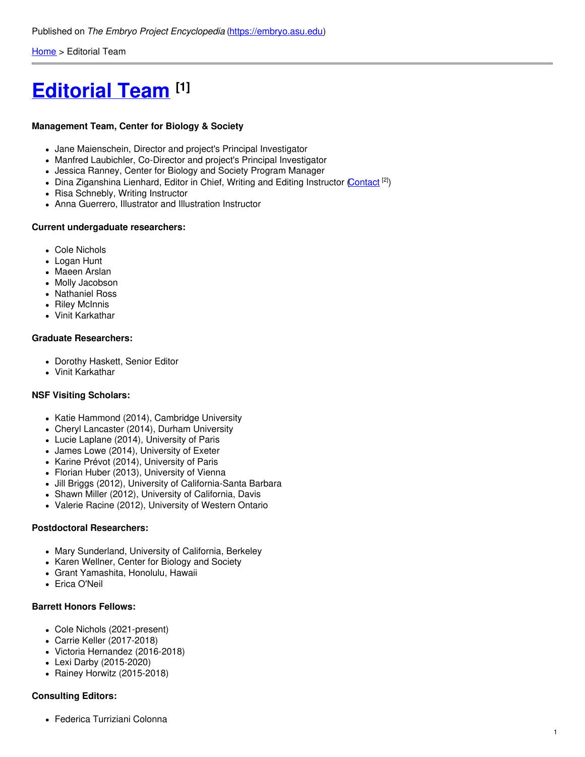[Home](https://embryo.asu.edu/) > Editorial Team

# **[Editorial](https://embryo.asu.edu/info/editorial-team) Team [1]**

#### **Management Team, Center for Biology & Society**

- Jane Maienschein, Director and project's Principal Investigator
- Manfred Laubichler, Co-Director and project's Principal Investigator
- Jessica Ranney, Center for Biology and Society Program Manager
- Dina Ziganshina Lienhard, Editor in Chief, Writing and Editing Instructor [\(Contact](https://isearch.asu.edu/profile/2234546)<sup>[2]</sup>)
- Risa Schnebly, Writing Instructor
- Anna Guerrero, Illustrator and Illustration Instructor

#### **Current undergaduate researchers:**

- Cole Nichols
- Logan Hunt
- Maeen Arslan
- Molly Jacobson
- Nathaniel Ross
- Riley McInnis
- Vinit Karkathar

#### **Graduate Researchers:**

- Dorothy Haskett, Senior Editor
- Vinit Karkathar

#### **NSF Visiting Scholars:**

- Katie Hammond (2014), Cambridge University
- Cheryl Lancaster (2014), Durham University
- Lucie Laplane (2014), University of Paris
- James Lowe (2014), University of Exeter
- Karine Prévot (2014), University of Paris
- Florian Huber (2013), University of Vienna
- Jill Briggs (2012), University of California-Santa Barbara
- Shawn Miller (2012), University of California, Davis
- Valerie Racine (2012), University of Western Ontario

#### **Postdoctoral Researchers:**

- Mary Sunderland, University of California, Berkeley
- Karen Wellner, Center for Biology and Society
- Grant Yamashita, Honolulu, Hawaii
- Erica O'Neil

#### **Barrett Honors Fellows:**

- Cole Nichols (2021-present)
- Carrie Keller (2017-2018)
- Victoria Hernandez (2016-2018)
- Lexi Darby (2015-2020)
- Rainey Horwitz (2015-2018)

#### **Consulting Editors:**

Federica Turriziani Colonna